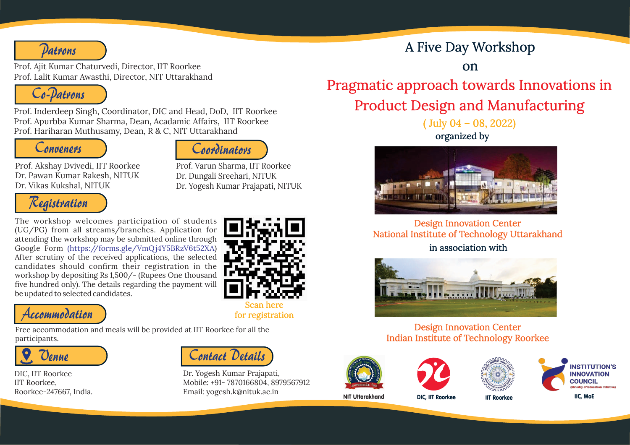

Prof. Ajit Kumar Chaturvedi, Director, IIT Roorkee Prof. Lalit Kumar Awasthi, Director, NIT Uttarakhand



Prof. Inderdeep Singh, Coordinator, DIC and Head, DoD, IIT Roorkee Prof. Apurbba Kumar Sharma, Dean, Acadamic Affairs, IIT Roorkee Prof. Hariharan Muthusamy, Dean, R & C, NIT Uttarakhand

*Conveners*



*Contact Details*

Dr. Yogesh Kumar Prajapati,

Email: yogesh.k@nituk.ac.in

Mobile: +91- 7870166804, 8979567912

Prof. Akshay Dvivedi, IIT Roorkee Dr. Pawan Kumar Rakesh, NITUK Dr. Vikas Kukshal, NITUK

Prof. Varun Sharma, IIT Roorkee Dr. Dungali Sreehari, NITUK Dr. Yogesh Kumar Prajapati, NITUK



The workshop welcomes participation of students (UG/PG) from all streams/branches. Application for attending the workshop may be submitted online through Google Form (https://forms.gle/VmQj4Y5BRzV6t52XA) After scrutiny of the received applications, the selected candidates should confirm their registration in the workshop by depositing Rs 1,500/- (Rupees One thousand five hundred only). The details regarding the payment will be updated to selected candidates.



Free accommodation and meals will be provided at IIT Roorkee for all the participants.



DIC, IIT Roorkee IIT Roorkee, Roorkee-247667, India.



for registration

## A Five Day Workshop

on

Pragmatic approach towards Innovations in Product Design and Manufacturing

> ( July 04 – 08, 2022) organized by



Design Innovation Center National Institute of Technology Uttarakhand in association with



## Design Innovation Center Indian Institute of Technology Roorkee









NIT Uttarakhand DIC, IIT Roorkee IIT Roorkee IIC, MoE